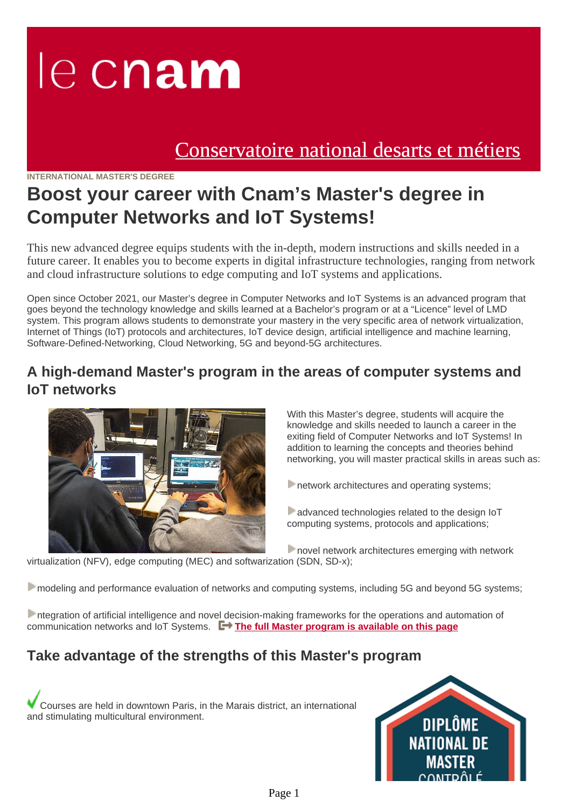# le cnam

# [Conservatoire national desarts et métiers](https://www.cnam.eu/)

#### **INTERNATIONAL MASTER'S DEGREE**

# **Boost your career with Cnam's Master's degree in Computer Networks and IoT Systems!**

This new advanced degree equips students with the in-depth, modern instructions and skills needed in a future career. It enables you to become experts in digital infrastructure technologies, ranging from network and cloud infrastructure solutions to edge computing and IoT systems and applications.

Open since October 2021, our Master's degree in Computer Networks and IoT Systems is an advanced program that goes beyond the technology knowledge and skills learned at a Bachelor's program or at a "Licence" level of LMD system. This program allows students to demonstrate your mastery in the very specific area of network virtualization, Internet of Things (IoT) protocols and architectures, IoT device design, artificial intelligence and machine learning, Software-Defined-Networking, Cloud Networking, 5G and beyond-5G architectures.

#### **A high-demand Master's program in the areas of computer systems and IoT networks**



With this Master's degree, students will acquire the knowledge and skills needed to launch a career in the exiting field of Computer Networks and IoT Systems! In addition to learning the concepts and theories behind networking, you will master practical skills in areas such as:

**network architectures and operating systems;** 

advanced technologies related to the design IoT computing systems, protocols and applications;

**novel network architectures emerging with network** 

virtualization (NFV), edge computing (MEC) and softwarization (SDN, SD-x);

modeling and performance evaluation of networks and computing systems, including 5G and beyond 5G systems;

ntegration of artificial intelligence and novel decision-making frameworks for the operations and automation of communication networks and IoT Systems. **[The full Master program is available on this page](https://master.roc.cnam.fr/index.php/master-program/)**

## **Take advantage of the strengths of this Master's program**

Courses are held in downtown Paris, in the Marais district, an international and stimulating multicultural environment.

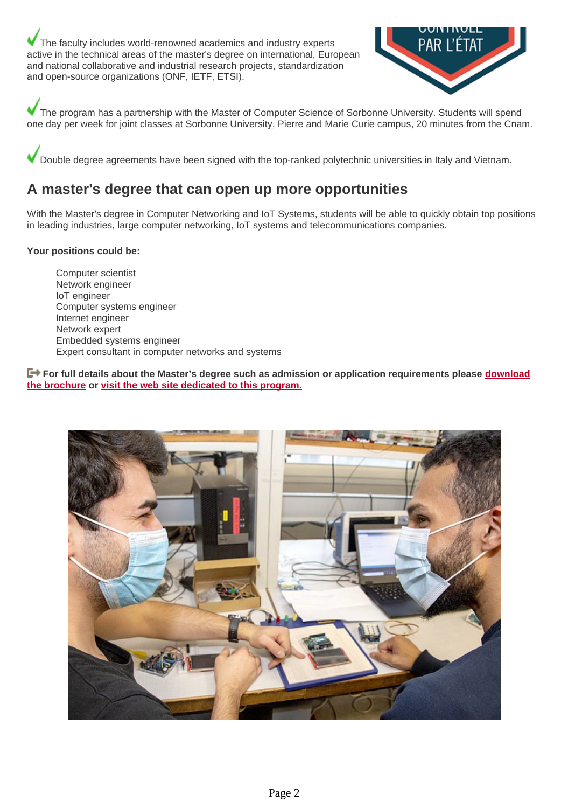The faculty includes world-renowned academics and industry experts active in the technical areas of the master's degree on international, European and national collaborative and industrial research projects, standardization and open-source organizations (ONF, IETF, ETSI).



The program has a partnership with the Master of Computer Science of Sorbonne University. Students will spend one day per week for joint classes at Sorbonne University, Pierre and Marie Curie campus, 20 minutes from the Cnam.

Double degree agreements have been signed with the top-ranked polytechnic universities in Italy and Vietnam.

#### **A master's degree that can open up more opportunities**

With the Master's degree in Computer Networking and IoT Systems, students will be able to quickly obtain top positions in leading industries, large computer networking, IoT systems and telecommunications companies.

#### **Your positions could be:**

Computer scientist Network engineer IoT engineer Computer systems engineer Internet engineer Network expert Embedded systems engineer Expert consultant in computer networks and systems

**F→** For full details about the Master's degree such as admission or application requirements please **[download](https://www.cnam.eu/medias/fichier/master-computer-networks-and-iot-systems_1645002400580-pdf?ID_FICHE=1112612&INLINE=FALSE) [the brochure](https://www.cnam.eu/medias/fichier/master-computer-networks-and-iot-systems_1645002400580-pdf?ID_FICHE=1112612&INLINE=FALSE) or [visit the web site dedicated to this program.](https://master.roc.cnam.fr/)**

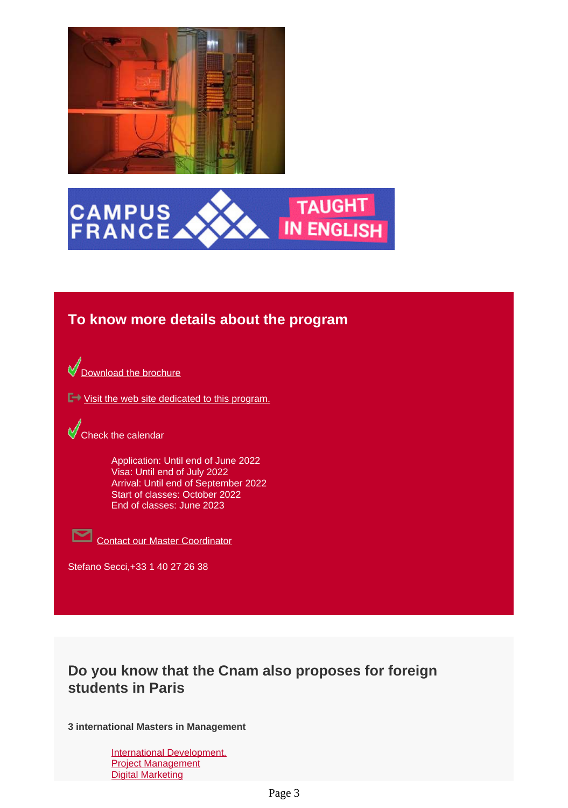



#### **To know more details about the program**

[Download the brochure](https://www.cnam.eu/medias/fichier/master-computer-networks-and-iot-systems_1645002133815-pdf?ID_FICHE=1112612&INLINE=FALSE)

■ [Visit the web site dedicated to this program.](https://master.roc.cnam.fr/)

Check the calendar

Application: Until end of June 2022 Visa: Until end of July 2022 Arrival: Until end of September 2022 Start of classes: October 2022 End of classes: June 2023



Contact our Master Coordinator

Stefano Secci,+33 1 40 27 26 38

## **Do you know that the Cnam also proposes for foreign students in Paris**

**3 international Masters in Management**

[International Development,](https://iim.cnam.fr/iim-international-institute-of-management/) [Project Management](https://iim.cnam.fr/iim-international-institute-of-management/) [Digital Marketing](https://iim.cnam.fr/iim-international-institute-of-management/)